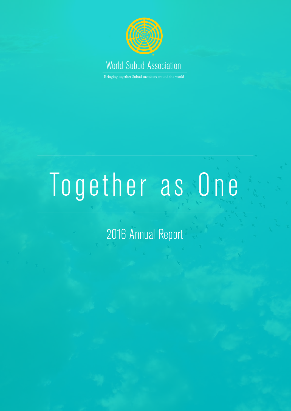

Bringing together Subud members around the world

# Together as One

2016 Annual Report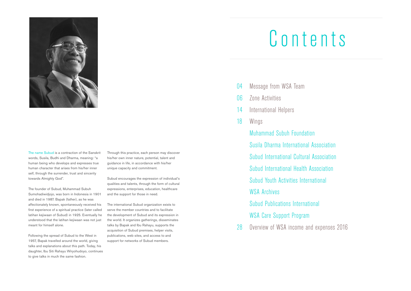

The name Subud is a contraction of the Sanskrit words, Susila, Budhi and Dharma, meaning: "a human being who develops and expresses true human character that arises from his/her inner self, through the surrender, trust and sincerity towards Almighty God".

The founder of Subud, Muhammad Subuh Sumohadiwidjojo, was born in Indonesia in 1901 and died in 1987. Bapak (father), as he was affectionately known, spontaneously received his first experience of a spiritual practice (later called latihan kejiwaan of Subud) in 1925. Eventually he understood that the latihan kejiwaan was not just meant for himself alone.

Following the spread of Subud to the West in 1957, Bapak travelled around the world, giving talks and explanations about this path. Today, his daughter, Ibu Siti Rahayu Wiryohudoyo, continues to give talks in much the same fashion.

Through this practice, each person may discover his/her own inner nature, potential, talent and guidance in life, in accordance with his/her unique capacity and commitment.

Subud encourages the expression of individual's qualities and talents, through the form of cultural expressions, enterprises, education, healthcare and the support for those in need.

The international Subud organization exists to serve the member countries and to facilitate the development of Subud and its expression in the world. It organizes gatherings, disseminates talks by Bapak and Ibu Rahayu, supports the acquisition of Subud premises, helper visits, publications, web sites, and access to and support for networks of Subud members.

- Message from WSA Team 04
- Zone Activities  $\overline{06}$
- International Helpers 14
- Wings 18

Muhammad Subuh Foundation Susila Dharma International Association Subud International Cultural Association Subud International Health Association Subud Youth Activities International WSA Archives Subud Publications International WSA Care Support Program

Overview of WSA income and expenses 2016 28

- 
- 
- 
- 

# Contents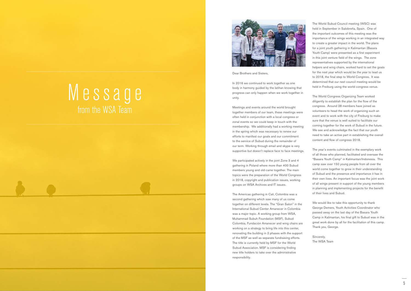Dear Brothers and Sisters,

In 2016 we continued to work together as one body in harmony guided by the latihan knowing that progress can only happen when we work together in unity.

Meetings and events around the world brought together members of our team, these meetings were often held in conjunction with a local congress or zonal events so we could keep in touch with the membership. We additionally had a working meeting in the spring which was necessary to renew our efforts to manifest our goals and our commitment to the service of Subud during the remainder of our term. Working through email and skype is very supportive but doesn't replace face to face meetings.

We participated actively in the joint Zone 3 and 4 gathering in Poland where more than 400 Subud members young and old came together. The main topics were the preparation of the World Congress in 2018, copyright and publication issues, working groups on WSA Archives and IT issues.

The Americas gathering in Cali, Colombia was a second gathering which saw many of us come together on different levels. The "Gran Salon" in the International Subud Center Amanecer in Colombia was a major topic. A working group from WSA, Muhammad Subuh Foundation (MSF), Subud Colombia, Fundación Amanecer and wing chairs are working on a strategy to bring life into this center, renovating the building in 2 phases with the support of the MSF as well as separate fundraising efforts. The title is currently held by MSF for the World Subud Association. MSF is considering finding new title holders to take over the administrative responsibility.

We would like to take this opportunity to thank George Demers, Youth Activities Coordinator who passed away on the last day of the Basara Youth Camp in Kalimantan, his final gift to Subud was in the great work done by all for the facilitation of this camp. Thank you, George.

The World Subud Council meeting (WSC) was held in September in Salobreña, Spain. One of the important outcomes of this meeting was the importance of the wings working in an integrated way to create a greater impact in the world. The plans for a joint youth gathering in Kalimantan (Basara Youth Camp) were presented as a first experiment in this joint venture field of the wings. The zone representatives supported by the international helpers and wing chairs, worked hard to set the goals for the next year which would be the year to lead us to 2018, the final step to World Congress. It was determined that our next council meeting would be held in Freiburg using the world congress venue.

The World Congress Organizing Team worked diligently to establish the plan for the flow of the congress. Around 28 members have joined as volunteers to head the work of organizing such an event and to work with the city of Freiburg to make sure that the venue is well suited to facilitate our coming together for the work of Subud in the future. We see and acknowledge the fact that our youth need to take an active part in establishing the overall content and flow of congress 2018.

The year's events culminated in the exemplary work of all those who planned, facilitated and oversaw the "Basara Youth Camp" in Kalimantan/Indonesia. This camp saw over 150 young people from all over the world come together to grow in their understanding of Subud and the presence and importance it has in their own lives. An important focus was the joint work of all wings present in support of the young members in planning and implementing projects for the benefit of their lives and Subud.

Sincerely, The WSA Team

# Message from the WSA Team



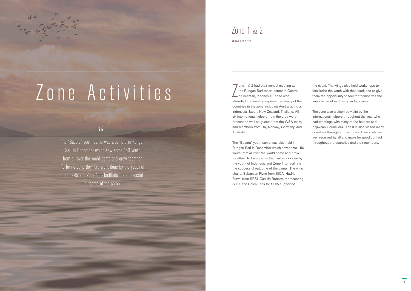# Zone Activities

 $\sum_{\text{min}}$ one 1 & 2 had their annual meeting at the Rungan Sari resort center in Central Kalimantan, Indonesia. Those who attended the meeting represented many of the countries in the zone including Australia, India, Indonesia, Japan, New Zealand, Thailand. All six international helpers from the area were present as well as guests from the WSA team, and members from UK, Norway, Germany, and Australia.

The "Basara" youth camp was also held in Rungan Sari in December which saw some 150 youth from all over the world come and grow together. To be noted is the hard work done by the youth of Indonesia and Zone 1 to facilitate the successful outcome of the camp. The wing chairs, Sebastian Flynn from SICA, Hadrian Fraval from SESI, Camille Roberts representing SIHA and Solen Lees for SDIA supported

## Zone 1 & 2 **Asia Pacific**

the event. The wings also held workshops to familiarize the youth with their work and to give them the opportunity to feel for themselves the importance of each wing in their lives.

The zone also welcomed visits by the international helpers throughout the year who had meetings with many of the helpers and Kejiwaan Councilors. The IHs also visited many countries throughout the zones. Their visits are well received by all and make for good contact throughout the countries and their members.

## "

The "Basara" youth camp was also held in Rungan Sari in December which saw some 150 youth from all over the world come and grow together. To be noted is the hard work done by the youth of Indonesia and Zone 1 to facilitate the successful outcome of the camp.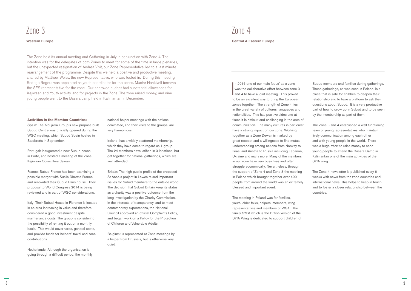The Zone held its annual meeting and Gathering in July in conjunction with Zone 4. The intention was for the delegates of both Zones to meet for some of the time in large plenaries, but the unexpected resignation of Andrea Vivit, our Zone Representative, led to a last minute rearrangement of the programme. Despite this we held a positive and productive meeting, chaired by Matthew Weiss, the new Representative, who was tested in. During this meeting Rodrigo Rogers was appointed as youth coordinator for the zones. Muctar Nankivell became the SES representative for the zone. Our approved budget had substantial allowances for Kejiwaan and Youth activity, and for projects in the Zone. The zone raised money, and nine young people went to the Basara camp held in Kalimantan in December.

 $\overline{\phantom{a}}$ n 2016 one of our main focus' as a zone was the collaborative effort between zone 3 and 4 to have a joint meeting. This proved to be an excellent way to bring the European zones together. The strength of Zone 4 lies in the great variety of cultures, languages and nationalities. This has positive sides and at times it is difficult and challenging in the area of communication. The many cultures in particular have a strong impact on our zone. Working together as a Zone Dewan is marked by great respect and a willingness to find mutual understanding among nations from Norway to Israel and Austria to Russia including Lebanon, Ukraine and many more. Many of the members in our zone have very busy lives and often struggle economically. Nevertheless, through the support of Zone 4 and Zone 3 the meeting in Poland which brought together over 400 people from around the world was an extremely blessed and important event.

The meeting in Poland was for families, youth, older folks, helpers, members, wing representatives and members of WSA. The family SYFA which is the British version of the SYIA Wing is dedicated to support children of

Subud members and families during gatherings. These gatherings, as was seen in Poland, is a place that is safe for children to deepen their relationship and to have a platform to ask their questions about Subud. It is a very productive part of how to grow up in Subud and to be seen by the membership as part of them.

The Zone 3 and 4 established a well functioning team of young representatives who maintain lively communication among each other and with young people in the world. There was a huge effort to raise money to send young people to attend the Basara Camp in Kalimantan one of the main activities of the SYIA wing.

The Zone 4 newsletter is published every 6 weeks with news from the zone countries and international news. This helps to keep in touch and to foster a closer relationship between the countries.

#### **Activities in the Member Countries:**

Spain: The Alpujarra Group's new purpose-built Subud Centre was officially opened during the WSC meeting, which Subud Spain hosted in Salobreña in September.

Portugal: Inaugurated a new Subud house in Porto, and hosted a meeting of the Zone Kejiwaan Councillors dewan.

France: Subud France has been examining a possible merger with Susila Dharma France and renovated their Subud Paris house. Their proposal to World Congress 2014 is being reviewed and is part of WSC considerations.

Italy: Their Subud House in Florence is located in an area increasing in value and therefore considered a good investment despite maintenance costs. The group is considering the possibility of renting it out on a monthly basis. This would cover taxes, general costs, and provide funds for helpers' travel and zone contributions.

Netherlands: Although the organisation is going through a difficult period, the monthly national helper meetings with the national committee, and their visits to the groups, are very harmonious.

Ireland: has a widely scattered membership, which they have come to regard as 1 group. The 24 members have latihan in 3 locations, but get together for national gatherings, which are well attended.

Britain: The high public profile of the proposed St Anne's project in Lewes raised important issues for Subud members to the outside world. The decision that Subud Britain keep its status as a charity was a positive outcome from the long investigation by the Charity Commission. In the interests of transparency, and to meet contemporary expectations, the National Council approved an official Complaints Policy, and began work on a Policy for the Protection of Children and Vulnerable Adults.

Belgium: is represented at Zone meetings by a helper from Brussels, but is otherwise very quiet.

# Zone 3 Zone 4

#### **Western Europe Central & Eastern Europe**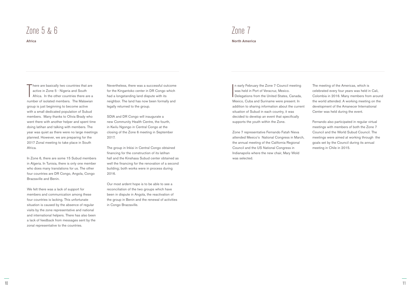There are basically two countries that are<br>active in Zone 5 - Nigeria and South<br>Africa. In the other countries there are a<br>number of inclated members. The Melevian active in Zone 5 - Nigeria and South Africa. In the other countries there are a number of isolated members. The Malawian group is just beginning to become active with a small dedicated population of Subud members. Many thanks to Olivia Brady who went there with another helper and spent time doing latihan and talking with members. The year was quiet as there were no large meetings planned. However, we are preparing for the 2017 Zonal meeting to take place in South Africa.

In Zone 6, there are some 15 Subud members in Algeria. In Tunisia, there is only one member who does many translations for us. The other four countries are DR Congo, Angola, Congo Brazzaville and Benin.

We felt there was a lack of support for members and communication among these four countries is lacking. This unfortunate situation is caused by the absence of regular visits by the zone representative and national and international helpers. There has also been a lack of feedback from messages sent by the zonal representative to the countries.

 $\overline{\phantom{a}}$ n early February the Zone 7 Council meeting was held in Port of Veracruz, Mexico. Delegations from the United States, Canada, Mexico, Cuba and Suriname were present. In addition to sharing information about the current situation of Subud in each country, it was decided to develop an event that specifically supports the youth within the Zone.

Nevertheless, there was a successful outcome for the Kingantoko center in DR Congo which had a longstanding land dispute with its neighbor. The land has now been formally and legally returned to the group.

SDIA and DR Congo will inaugurate a new Community Health Centre, the fourth, in Kwilu Ngongo in Central Congo at the closing of the Zone 6 meeting in September 2017.

The group in Inkisi in Central Congo obtained financing for the construction of its latihan hall and the Kinshasa Subud center obtained as well the financing for the renovation of a second building; both works were in process during 2016.

Our most ardent hope is to be able to see a reconciliation of the two groups which have been in dispute in Angola, the reactivation of the group in Benin and the renewal of activities in Congo Brazzaville.

## Zone 5 & 6

Zone 7 representative Fernando Fatah Nieva attended Mexico's National Congress in March, the annual meeting of the California Regional Council and the US National Congress in Indianapolis where the new chair, Mary Wold was selected.

The meeting of the Americas, which is celebrated every four years was held in Cali, Colombia in 2016. Many members from around the world attended. A working meeting on the development of the Amanecer International Center was held during the event.

Fernando also participated in regular virtual meetings with members of both the Zone 7 Council and the World Subud Council. The meetings were aimed at working through the goals set by the Council during its annual meeting in Chile in 2015.

**Africa North America**

# Zone 7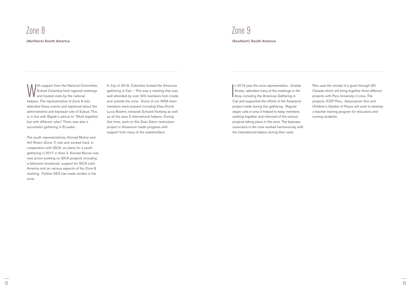With support from the National Committee,<br>Subud Colombia held regional meetings<br>helpers. The representative of Zone 8 also Subud Colombia held regional meetings and hosted visits by the national helpers. The representative of Zone 8 also attended these events and explained about the administrative and kejiwaan role of Subud. This is in line with Bapak's advice to "Work together, but with different roles." There was also a successful gathering in Ecuador.

The youth representatives, Konrad Muñoz and Arif Rivero (Zone 7) met and worked hard, in cooperation with SICA, on plans for a youth gathering in 2017 in Area 3. Konrad Munos was very active working on SICA projects including a television broadcast, support for SICA Latin America and on various aspects of the Zone 8 meeting. Further SES has made strides in the zone.

 $\overline{\phantom{a}}$ n 2016 year the zone representative, Urraida Arratia, attended many of the meetings in the Area, including the Americas Gathering in Cali and supported the efforts of the Amanecer project made during this gathering. Regular skype calls in area 3 helped to keep members working together and informed of the various projects taking place in the zone. The kejiwaan councilors in the zone worked harmoniously with the international helpers during their visits.

In July of 2016, Colombia hosted the Americas gathering in Cali – This was a meeting that was well attended by over 300 members from inside and outside the zone. Some of our WSA team members were present including Elias Dumit, Lucia Boehm, Ismanah Schulze-Vorberg as well as all the area 3 international helpers. During that time, work on the Gran Salon restoration project in Amanecer made progress with support from many of the stakeholders.

Peru saw the receipt of a grant through SD Canada which will bring together three different projects with Peru University in Lima. The projects, ICDP Peru, Associacion Vivir and Children's Garden of Peace will work to develop a teacher training program for educators and nursing students.

# Zone 9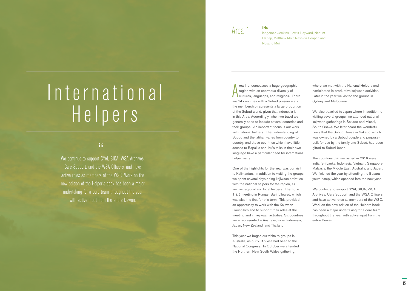# International H e l p e r s

" We continue to support SYAI, SICA, WSA Archives, Care Support, and the WSA Officers, and have active roles as members of the WSC. Work on the new edition of the Helper's book has been a major undertaking for a core team throughout the year with active input from the entire Dewan.

A rea 1 encompasses a huge geographic region with an enormous diversity of cultures, languages, and religions. There are 14 countries with a Subud presence and the membership represents a large proportion of the Subud world, given that Indonesia is in this Area. Accordingly, when we travel we generally need to include several countries and their groups. An important focus is our work with national helpers. The understanding of Subud and the latihan varies from country to country, and those countries which have little access to Bapak's and Ibu's talks in their own language have a particular need for international helper visits.

One of the highlights for the year was our visit to Kalimantan. In addition to visiting the groups we spent several days doing kejiwaan activities with the national helpers for the region, as well as regional and local helpers. The Zone 1 & 2 meeting in Rungan Sari followed, which was also the first for this term. This provided an opportunity to work with the Kejiwaan Councilors and to support their roles at the meeting and in kejiwaan activities. Six countries were represented – Australia, India, Indonesia, Japan, New Zealand, and Thailand.

We continue to support SYAI, SICA, WSA Archives, Care Support, and the WSA Officers, and have active roles as members of the WSC. Work on the new edition of the Helpers book has been a major undertaking for a core team throughout the year with active input from the entire Dewan.

This year we began our visits to groups in Australia, as our 2015 visit had been to the National Congress. In October we attended the Northern New South Wales gathering,

where we met with the National Helpers and participated in productive kejiwaan activities. Later in the year we visited the groups in Sydney and Melbourne.

We also travelled to Japan where in addition to visiting several groups, we attended national kejiwaan gatherings in Sakado and Misaki, South Osaka. We later heard the wonderful news that the Subud House in Sakado, which was owned by a Subud couple and purposebuilt for use by the family and Subud, had been gifted to Subud Japan.

The countries that we visited in 2016 were India, Sri Lanka, Indonesia, Vietnam, Singapore, Malaysia, the Middle East, Australia, and Japan. We finished the year by attending the Basara youth camp, which spanned into the new year.

## Area 1 **IHs**

Istigomah Jenkins, Lewis Hayward, Nahum Harlap, Matthew Moir, Rashida Cooper, and Rosario Moir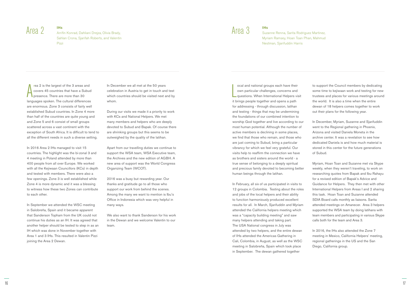rea 2 is the largest of the 3 areas and<br>covers 45 countries that have a Subud<br>presence. There are more than 30<br>languages spoken. The cultural differences rea 2 is the largest of the 3 areas and covers 45 countries that have a Subud presence. There are more than 30 are enormous. Zone 3 consists of fairly well established Subud countries. In Zone 4 more than half of the countries are quite young and and Zone 5 and 6 consist of small groups scattered across a vast continent with the exception of South Africa. It is difficult to tend to all the different needs in such a diverse setting.

In 2016 Area 2 IHs managed to visit 15 countries. The highlight was the bi-zonal 3 and 4 meeting in Poland attended by more than 400 people from all over Europe. We worked with all the Keijwaan Councillors (KCs) in depth and tested with members. There were also a few openings. Zone 3 is well established while Zone 4 is more dynamic and it was a blessing to witness how these two Zones can contribute to each other.

> We also want to thank Sanderson for his work in the Dewan and we welcome Valentin to our team.

In September we attended the WSC meeting in Salobreña, Spain and it became apparent that Sanderson Topham from the UK could not continue his duties as an IH. It was agreed that another helper should be tested to step in as an IH which was done in November together with Area 1 and 3 IHs. This resulted in Valentin Pizzi joining the Area 2 Dewan.

In December we all met at the 50 years celebration in Austria to get in touch and test which countries should be visited next and by whom.

During our visits we made it a priority to work with KCs and National Helpers. We met many members and helpers who are deeply devoted to Subud and Bapak. Of course there are shrinking groups but this seems to be outweighed by the quality of the latihan.

 $\frac{1}{2}$ ocal and national groups each have their own particular challenges, concerns and questions. When International Helpers visit it brings people together and opens a path for addressing - through discussion, latihan and testing - things that may be undermining the foundations of our combined intention to worship God together and live according to our most human potential. Although the number of active members is declining in some places, we find that those who remain, and those who are just coming to Subud, bring a particular vibrancy for which we feel very grateful. Our visits help to reaffirm the connection we have as brothers and sisters around the world - a true sense of belonging to a deeply spiritual and precious family devoted to becoming better human beings through the latihan.

Apart from our travelling duties we continue to support the WSA team, WSA Executive team, the Archives and the new edition of AGBH. A new area of support was the World Congress Organizing Team (WCOT).

2016 was a busy but rewarding year. Our thanks and gratitude go to all those who support our work from behind the scenes. Among the many we want to mention is Ibu's Office in Indonesia which was very helpful in many ways.

## Area 2 **IHs**

Arrifin Konrad, Dahliani Drejza, Olivia Brady, Sahlan Crona, Sjarifah Roberts, and Valentin Pizzi

## $Area 3$

In February, all six of us participated in visits to 12 groups in Colombia. Testing about the roles and jobs of the local helpers and their ability to function harmoniously produced excellent results for all. In March, Sjarifuddin and Myriam attended the California helpers meeting which was a "capacity building meeting" and saw many helpers attending and taking part. The USA National congress in July was attended by two helpers, and the entire dewan of IHs attended the Americas Gathering in Cali, Colombia, in August, as well as the WSC meeting in Salobreña, Spain which took place in September. The dewan gathered together

to support the Council members by dedicating some time to kejiwaan work and testing for new trustees and places for various meetings around the world. It is also a time when the entire dewan of 18 helpers comes together to work out their plans for the following year.

In December, Myriam, Suzanne and Sjarifuddin went to the Regional gathering in Phoenix. Arizona and visited Daniela Moneta in the archive center. It was a revelation to see how dedicated Daniela is and how much material is stored in this center for the future generations of Subud.

Myriam, Hoan Toan and Suzanne met via Skype weekly, when they weren't traveling, to work on researching quotes from Bapak and Ibu Rahayu for a revised edition of Bapak's Advice and Guidance for Helpers. They then met with other International Helpers from Areas I and 2 sharing this task. Hoan Toan and Suzanne attended SDIA Board calls monthly as liaisons. Sarita attended meetings on Amanecer. Area 3 helpers supported the WSA team by doing latihans with team members and participating in various Skype calls both for the team and Area 3.

In 2016, the IHs also attended the Zone 7 meeting in Mexico, California Helpers' meeting, regional gatherings in the US and the San Diego, California group.

Suzanne Renna, Sarita Rodriguez Martinez, Myriam Ramsey, Hoan Toan Phan, Mahmud Nestman, Sjarifuddin Harris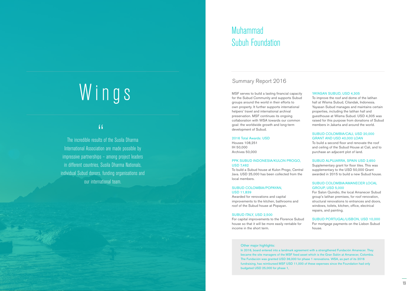# Wings

**The incredible results of the Susila Dharma** International Association are made possible by impressive partnerships – among project leaders in different countries, Susila Dharma Nationals, individual Subud donors, funding organisations and our international team.

## Muhammad Subuh Foundation

### PPK SUBUD INDONESIA/KULON PROGO, **USD 7462**

MSF serves to build a lasting financial capacity for the Subud Community and supports Subud groups around the world in their efforts to own property. It further supports international helpers' travel and international archival preservation. MSF continues its ongoing collaboration with WSA towards our common goal: the worldwide growth and long-term development of Subud.

## 2016 Total Awards: USD

Houses 108,251 IH 50,000 Archives 50,000

To build a Subud house at Kulon Progo, Central Java. USD 25,000 has been collected from the local members.

#### SUBUD COLOMBIA/POPAYAN, USD 11,839

Awarded for renovations and capital improvements to the kitchen, bathrooms and roof of the Subud house at Popayan.

## SUBUD ITALY, USD 2,500

For capital improvements to the Florence Subud house so that it will be more easily rentable for income in the short term.

### Other major highlights:

#### YAYASAN SUBUD, USD 4,305

In 2016, board entered into a landmark agreement with a strengthened Fundación Amanecer. They became the site managers of the MSF fixed asset which is the Gran Salón at Amanecer, Colombia. The Fundación was granted USD 36,000 for phase 1 renovations. WSA, as part of its 2016 fundraising, has reimbursed MSF USD 11,000 of these expenses since the Foundation had only budgeted USD 25,000 for phase 1,

To improve the roof and dome of the latihan hall at Wisma Subud, Cilandak, Indonesia. Yayasan Subud manages and maintains certain properties, including the latihan hall and guesthouse at Wisma Subud. USD 4,305 was raised for this purpose from donations of Subud members in Jakarta and around the world.

#### SUBUD COLOMBIA/CALI, USD 20,000 GRANT AND USD 40,000 LOAN

To build a second floor and renovate the roof and ceiling of the Subud House at Cali, and to purchase an adjacent plot of land.

#### SUBUD ALPUJARRA, SPAIN USD 2,650

Supplementary grant for floor tiles. This was supplementary to the USD 50,000 Grant awarded in 2015 to build a new Subud house.

#### SUBUD COLOMBIA/AMANECER LOCAL GROUP, USD 5,000

For Salon Quindio, the local Amanecer Subud group's latihan premises, for roof renovation, structural renovations to entrances and doors, windows, toilets, kitchen, office, electrical repairs, and painting.

#### SUBUD PORTUGAL/LISBON, USD 10,000

For mortgage payments on the Lisbon Subud house.

## Summary Report 2016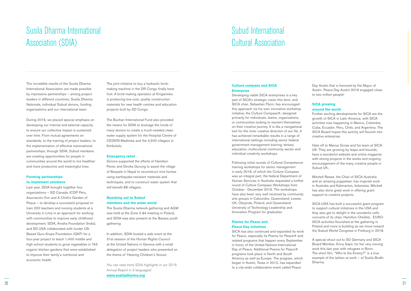## Susila Dharma International Association (SDIA)

The incredible results of the Susila Dharma International Association are made possible by impressive partnerships – among project leaders in different countries, Susila Dharma Nationals, individual Subud donors, funding organisations and our international team.

During 2016, we placed special emphasis on developing our internal and external capacity to ensure our collective impact is sustained over time. From mutual agreements on standards, to the training of project leaders, to the implementation of effective transnational partnerships, through SDIA, Subud members are creating opportunities for people in communities around the world to live healthier and more productive and meaningful lives.

#### **Forming partnerships to implement solutions**

Last year, SDIA brought together four organizations – SD Canada, ICDP Peru, Asociación Vivir and A Child's Garden of Peace – to develop a successful proposal to train 200 teachers and nursing students at a University in Lima in an approach for working with communities to improve early childhood development. SDIA, Anisha Foundation (India), and SD USA collaborated with funder US-Based Guru Krupa Foundation (GKF) for a four-year project to teach 1,400 middle and high school students to grow vegetables in 743 organic kitchen gardens that were established to improve their family's nutritional and economic health.

The joint initiative to buy a hydraulic brickmaking machine in the DR Congo finally bore fruit. A brick-making operation at Kingantoko is producing low-cost, quality construction materials for new health centres and education projects built by SD Congo.

The Buchan International Fund also provided the means for SDIA to leverage the funds of many donors to create a much-needed clean water supply system for the Hospital Centre of CEDERI-Madimba and the 4,500 villagers in Kimbololo.

#### **Emergency relief**

Donors supported the efforts of Hamilton Pevec and Devika Gurung to assist the village of Banpale in Nepal to reconstruct nine homes using earthquake-resistant materials and techniques, and to construct water system that will benefit 88 villagers.

### **Reaching out to Subud members and the wider world**

The Susila Dharma network gathering and AGM was held at the Zone 3 &4 meeting in Poland, and SDIA was also present at the Basara youth gathering

In addition, SDIA hosted a side event at the 31st session of the Human Rights Council at the United Nations in Geneva with a small delegation of project leaders who presented on the theme of 'Hearing Children's Voices'.

You can read more SDIA highlights in our 2016 Annual Report in 3 languages! **[www.susiladharma.org](https://www.susiladharma.org/)**

## Subud International Cultural Association

### **Culture compass and SICA Enterprise**

Developing viable SICA enterprises is a key part of SICA's strategic vision this term, and SICA chair, Sebastian Flynn, has encouraged this approach via his own innovative workshop initiative, the Culture Compass®, designed primarily for individuals, teams, organizations, or communities looking to reorient themselves on their creative journey. It is like a navigational tool for the inner creative direction of our life. It has achieved remarkable results in a range of international settings including senior federal government management training, tertiary education, multicultural community sector and individual creativity workshops

Following initial rounds of Cultural Competence training workshops for senior management in early 2016, of which the Culture Compass was an integral part, the federal Department of Human Services in Australia requested a further round of Culture Compass Workshops from October - December 2016. The workshops have also been very well received by community arts groups in Caloundra, Queensland; Lewes, UK, Olszynek; Poland, and Queensland University of Technology Leadership and Innovation Program for graduates.

### **Poems for Peace and Peace Day initaitves**

SICA has also continued and expanded its work for Peace, especially its Poems for Peace® and related programs that happen every September in honor of the United Nations International Day of Peace. Additional Poems for Peace® programs took place in North and South America as well as Europe. The program, which began in Austin, Texas in 2012, has expanded to a city-wide collaborative event called Peace

Day Austin that is honored by the Mayor of Austin. Peace Day Austin 2016 engaged close to two million people!

## **SICA growing around the world**

Further exciting developments for SICA are the growth of SICA in Latin America, with SICA activities now happening in Mexico, Colombia, Cuba, Ecuador, Peru, Chile, and Argentina. The SICA Board hopes this activity will flourish into creative enterprise.

Hats off to Marius Grose and his team at SICA UK. They are growing by leaps and bounds, have a wonderful website and online magazine with strong projects in the works and ongoing encouragement of the many creative people in Subud UK..

Mitchell Reese, the Chair of SICA Australia and an amazing puppeteer, has inspired work in Australia and Kalimantan, Indonesia. Mitchell has also done great work in offering grant support to creative projects.

SICA-USA has built a successful grant program to support cultural initiatives in the USA and they also get to delight in the wonderful cello concerts of its chair, Hamilton Cheifetz. EURO-SICA activities flourished at the gathering in Poland and more is building as we move toward the Subud World Congress in Freiburg in 2018.

A special shout out to SD Germany and SICA Board Member, Erica Sapir, for her very moving work this last year with refugees in Bonn. The short film, "Who Is the Enemy?" is a true example of the latihan at work — of Susila Budhi Dharma.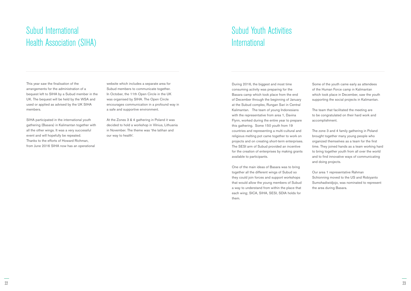## Subud International Health Association (SIHA)

This year saw the finalisation of the arrangements for the administration of a bequest left to SIHA by a Subud member in the UK. The bequest will be held by the WSA and used or applied as advised by the UK SIHA members.

SIHA participated in the international youth gathering (Basara) in Kalimantan together with all the other wings. It was a very successful event and will hopefully be repeated. Thanks to the efforts of Howard Richman, from June 2016 SIHA now has an operational

## Subud Youth Activities **International**

website which includes a separate area for Subud members to communicate together. In October, the 11th Open Circle in the UK was organised by SIHA. The Open Circle encourages communication in a profound way in a safe and supportive environment.

At the Zones 3 & 4 gathering in Poland it was decided to hold a workshop in Vilnius, Lithuania in November. The theme was 'the latihan and our way to health'.

During 2016, the biggest and most time consuming activity was preparing for the Basara camp which took place from the end of December through the beginning of January at the Subud complex, Rungan Sari in Central Kalimantan. The team of young Indonesians with the representative from area 1, Davina Flynn, worked during the entire year to prepare this gathering. Some 150 youth from 19 countries and representing a multi-cultural and religious melting pot came together to work on projects and on creating short-term enterprises. The SESI arm of Subud provided an incentive for the creation of enterprises by making grants available to participants.

One of the main ideas of Basara was to bring together all the different wings of Subud so they could join forces and support workshops that would allow the young members of Subud a way to understand from within the place that each wing; SICA, SIHA, SESI, SDIA holds for them.

Some of the youth came early as attendees of the Human Force camp in Kalimantan which took place in December, saw the youth supporting the social projects in Kalimantan.

The team that facilitated the meeting are to be congratulated on their hard work and accomplishment.

The zone 3 and 4 family gathering in Poland brought together many young people who organized themselves as a team for the first time. They joined hands as a team working hard to bring together youth from all over the world and to find innovative ways of communicating and doing projects.

Our area 1 representative Rahman Schionning moved to the US and Robiyanto Sumohadiwidjojo, was nominated to represent the area during Basara.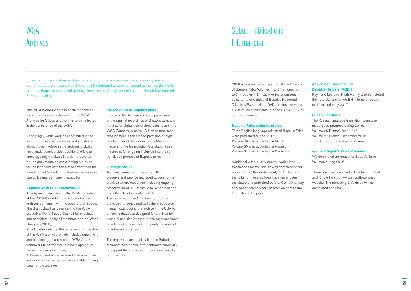## **WSA** Archives

Subud is not for us alone and we have a duty of care to ensure there is a complete and authentic record showing how the gift of the latihan kejiwaan of Subud came into the world and how it spread and developed by the Grace of Almighty God through Bapak Muhammad Sumohadiwidjojo.

The 2014 World Congress again recognised the importance and relevance of the WSA Archives for Subud and, for this to be reflected in the constitution of the WSA.

Accordingly, while work has continued in the various archives as resources and situations allow, those involved in the archives globally have made considerable, additional effort to meet regularly via skype in order to develop, via the documents below, a lasting structure for the long term with the aim to strengthen the foundation of Subud and better enable a visible, useful, lasting, permanent legacy for

#### **Bapak's work in our archives via:**

1: a bylaw for inclusion in the WSA constitution at the 2018 World Congress to anchor the archives permanently in the structure of Subud. The draft bylaw has been sent to the WSA executive/World Subud Council for circulation and consideration by all members prior to World Congress 2018,

2: a Charter defining the purpose and operation of the WSA archives, which includes quantifying and confirming an appropriate WSA Archive framework to better facilitate development of the archives into the future,

## Subud Publications **International**

3: Development of the archive Charter includes establishing a stronger and more stable funding base for the archives.

#### **Preservation of Bapak's talks**

Further to the Memnon project, preservation of the original recordings of Bapak's talks and the master digital conversions continues in the WSA Canberra Archive. A further important development is the staged provision of high resolution mp3 derivatives of the Memnon masters to the transcription/translation team in Indonesia, for ongoing inclusion into the retranslation process of Bapak's talks.

#### **Other priorities**

Archives generally continue to collect, preserve and provide managed access to the archives where resources, including ongoing preservation of Ibu Rahayu's talks and writings and other developments include: The organization and numbering of Subud archives into series and write the procedures manual; cataloguing the archive in the USA to an online database designed for archives for eventual use also by other archives; assessment of video collections as high priority because of obsolescence issues.

The archives team thanks all those Subud members who continue to contribute financially or support the archives in other ways inwardly or outwardly.

2016 was a very active year for SPI, with sales of Bapak's Talks Volumes 1 to 31 amounting to 744 copies – \$11,230 (68% of our total sales turnover). Sales of Bapak's Recorded Talks in MP3 and video DVD formats and video DVDs of Ibu's talks amounted to \$1,240 (8% of our total turnover).

#### **Bapak's Talks volumes project**

Three English language edition of Bapak's Talks were published during 2016: Volume 29 was published in March. Volume 30 was published in August. Volume 31 was published in December.

Additionally, the quality control work of the translations for Volume 32 was commenced for publication of this edition early-2017. Many of the talks for these editions have never been translated and published before. Complimentary copies of each new edition are also sent to the International Helpers.

## **Advice and Guidance for Bapak's Helpers (AGBH)**

Raymond Lee and Sharif Horthy also completed their translations for AGBH – to be checked and finalised early 2017.

### **Russian editions**

The Russian language translation team also made good progress during 2016: Volume 26 Printed, June 2016. Volume 27 Printed, December 2016. Translations in progress for Volume 28.

#### **epubs – Bapak's Talks Volumes**

We completed 26 epubs for Bapak's Talks Volumes during 2016.

These are now available to download for iPad and Kindle from our www.subudbooks.net website. The remaining 5 Volumes will be completed early 2017.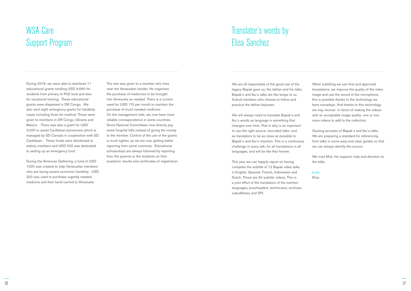## WSA Care Support Program

During 2016, we were able to distribute 11 educational grants totalling USD 6,690 for students from primary to PhD level and also for vocational training. These educational grants were dispersed in DR Congo. We also sent eight emergency grants for hardship cases including three for medical. These were given to members in DR Congo, Ukraine and Mexico. There was also a grant for USD 3,000 to assist Caribbean pensioners which is managed by SD Canada in cooperation with SD Caribbean. These funds were distributed to elderly members and USD 500 was dedicated to setting up an emergency fund.

During the Americas Gathering, a fund of USD 1000 was created to help Venezuelan members who are facing severe economic hardship. USD 200 was used to purchase urgently needed medicine and then hand carried to Venezuela.

The rest was given to a member who lives near the Venezuelan border. He organizes the purchase of medicines to be brought into Venezuela as needed. There is a current need for USD 170 per month to maintain the purchase of much needed medicine. On the management side, we now have more reliable correspondence in some countries. Some National Committees now directly pay some hospital bills instead of giving the money to the member. Control of the use of the grants is much tighter, as we are now getting better reporting from some countries. Educational scholarships are always followed by reporting from the parents or the students on their academic results and certificates of registration.

## Translator's words by Elisa Sanchez

We are all responsible of the good use of the legacy Bapak gave us, the latihan and his talks. Bapak´s and Ibu´s talks are like lamps to us Subud members who choose to follow and practice the latihan kejiwaan.

We will always need to translate Bapak´s and Ibu´s words as language is something that changes over time. That is why is so important to use the right source -recorded talks- and as translators to be as close as possible to Bapak´s and Ibu´s intention. This is a continuous challenge in every talk, for all translations in all languages, and will be like that forever.

This year we can happily report on having complete the subtitle of 12 Bapak video talks in English, Spanish, French, Indonesian and Dutch. Those are 60 subtitle videos. This is a joint effort of the translators of the mention languages, proofreaders, technicians, archives, subudlibrary and SPI.

When subtitling we use final and approved translations, we improve the quality of the video image and use the sound of the microphone, this is possible thanks to the technology we have nowadays. And thanks to this technology we may recover -in terms of making the videos with an acceptable image quality- one or two more videos to add to the collection.

Quoting excerpts of Bapak´s and Ibu´s talks. We are preparing a standard for referencing from talks in some easy and clear guides so that we can always identify the source.

We miss Muti, her support, help and devotion to the talks.

Love,

Elisa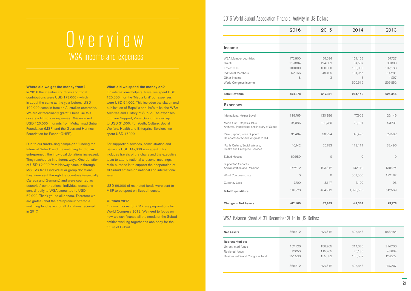2016 World Subud Association Financial Activity in US Dollars

## WSA Balance Sheet at 31 December 2016 in US Dollars

#### **Where did we get the money from?**

In 2016 the member countries and zonal contributions were USD 173,000 - which is about the same as the year before. USD 100,000 came in from an Australian enterprise. We are extraordinarily grateful because this covers a fifth of our expenses. We received USD 120,000 in grants from Muhammad Subuh Foundation (MSF) and the Guerrand Hermes Foundation for Peace (GHFP).

Due to our fundraising campaign "Funding the future of Subud" and the matching fund of an entrepreneur, the individual donations increased. They reached us in different ways. One donation of USD 12,000 from Norway came in through MSF. As far as individual or group donations, they were sent through the countries (especially Canada and Germany) and were counted as countries' contributions. Individual donations sent directly to WSA amounted to USD 62,000. Thank you to all donors. Therefore we are grateful that the entrepreneur offered a matching fund again for all donations received in 2017.

#### **What did we spend the money on?**

On international helpers' travel we spent USD 120,000. For the 'Media Unit' our expenses were USD 94,000. This includes translation and publication of Bapak's and Ibu's talks, the WSA Archives and History of Subud. The expenses for Care Support, Zone Support added up to USD 31,000. For Youth, Culture, Social Welfare, Health and Enterprise Services we spent USD 47,000.

For supporting services, administration and pensions USD 147,000 was spent. This includes travels of the chairs and the executive team to attend national and zonal meetings. Main purpose is to support the cooperation of all Subud entities on national and international level.

USD 69,000 of restricted funds were sent to MSF to be spent on Subud houses.

#### **Outlook 2017**

Our main focus for 2017 are preparations for World Congress 2018. We need to focus on how we can finance all the needs of the Subud entities working together as one body for the future of Subud.

| <b>Net Assets</b>              | 365,712 | 427,812 | 395,343 | 553,484 |
|--------------------------------|---------|---------|---------|---------|
| Represented by:                |         |         |         |         |
| Unrestricted funds             | 167,126 | 156,965 | 214,626 | 214,766 |
| Retricted funds                | 47,050  | 115,265 | 25,135  | 43,664  |
| Designated World Congress fund | 151,536 | 155,582 | 155,582 | 179,277 |
|                                | 365,712 | 427,812 | 395,343 | 437,707 |
|                                |         |         |         |         |

|                                                                                                                            | 2016                                         | 2015                                         | 2014                                                    | 2013                                                        |
|----------------------------------------------------------------------------------------------------------------------------|----------------------------------------------|----------------------------------------------|---------------------------------------------------------|-------------------------------------------------------------|
|                                                                                                                            |                                              |                                              |                                                         |                                                             |
| Income                                                                                                                     |                                              |                                              |                                                         |                                                             |
| <b>WSA Member countries</b><br>Grants<br>Enterprises<br><b>Individual Members</b><br>Other Income<br>World Congress income | 172,900<br>119,804<br>100,000<br>62,166<br>8 | 174,284<br>194,689<br>100,000<br>48,405<br>3 | 161,162<br>34,507<br>100,000<br>184,955<br>3<br>500,515 | 167,727<br>30,000<br>102,188<br>114,281<br>1,297<br>205,852 |
| <b>Total Revenue</b>                                                                                                       | 454,878                                      | 517,381                                      | 981,142                                                 | 621,345                                                     |
| <b>Expenses</b>                                                                                                            |                                              |                                              |                                                         |                                                             |
| International Helper travel                                                                                                | 119,765                                      | 130,396                                      | 77,929                                                  | 125,146                                                     |
| Media Unit - Bapak's Talks,<br>Archives, Translations and History of Subud                                                 | 94,086                                       | 100,780                                      | 78,101                                                  | 93,731                                                      |
| Care Support, Zone Support,<br>Delegates to World Congress 2014                                                            | 31,484                                       | 30,994                                       | 48,495                                                  | 29,562                                                      |
| Youth, Culture, Social Welfare,<br>Health and Enterprise Services                                                          | 46,742                                       | 25,783                                       | 119,111                                                 | 33,496                                                      |
| Subud Houses                                                                                                               | 69,989                                       | $\bigcirc$                                   | $\bigcirc$                                              | $\bigcirc$                                                  |
| Supporting Services,<br>Administration and Pensions                                                                        | 147,212                                      | 193,812                                      | 132,710                                                 | 138,274                                                     |
| World Congress costs                                                                                                       | $\circ$                                      | $\circ$                                      | 561,060                                                 | 127,167                                                     |
| Currency Loss                                                                                                              | 7,700                                        | 3,147                                        | 6,100                                                   | 193                                                         |
| <b>Total Expenditure</b>                                                                                                   | 516,978                                      | 484,912                                      | 1,023,506                                               | 547,569                                                     |
| <b>Change in Net Assets</b>                                                                                                | $-62,100$                                    | 32,469                                       | $-42,364$                                               | 73,776                                                      |

# WSA income and expenses Overview